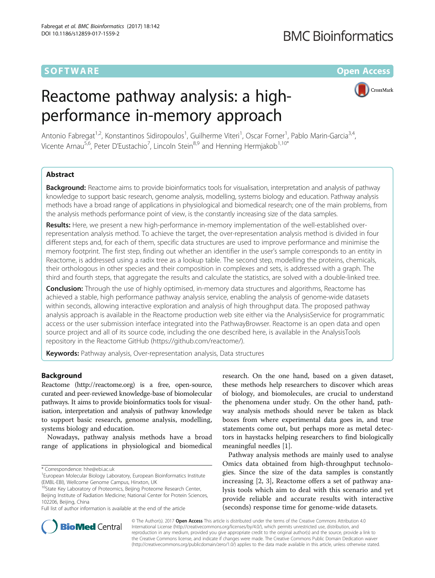## **SOFTWARE SOFTWARE SOFTWARE**

# Reactome pathway analysis: a highperformance in-memory approach



Antonio Fabregat<sup>1,2</sup>, Konstantinos Sidiropoulos<sup>1</sup>, Guilherme Viteri<sup>1</sup>, Oscar Forner<sup>1</sup>, Pablo Marin-Garcia<sup>3,4</sup>, Vicente Arnau<sup>5,6</sup>, Peter D'Eustachio<sup>7</sup>, Lincoln Stein<sup>8,9</sup> and Henning Hermjakob<sup>1,10\*</sup>

## Abstract

Background: Reactome aims to provide bioinformatics tools for visualisation, interpretation and analysis of pathway knowledge to support basic research, genome analysis, modelling, systems biology and education. Pathway analysis methods have a broad range of applications in physiological and biomedical research; one of the main problems, from the analysis methods performance point of view, is the constantly increasing size of the data samples.

Results: Here, we present a new high-performance in-memory implementation of the well-established overrepresentation analysis method. To achieve the target, the over-representation analysis method is divided in four different steps and, for each of them, specific data structures are used to improve performance and minimise the memory footprint. The first step, finding out whether an identifier in the user's sample corresponds to an entity in Reactome, is addressed using a radix tree as a lookup table. The second step, modelling the proteins, chemicals, their orthologous in other species and their composition in complexes and sets, is addressed with a graph. The third and fourth steps, that aggregate the results and calculate the statistics, are solved with a double-linked tree.

**Conclusion:** Through the use of highly optimised, in-memory data structures and algorithms, Reactome has achieved a stable, high performance pathway analysis service, enabling the analysis of genome-wide datasets within seconds, allowing interactive exploration and analysis of high throughput data. The proposed pathway analysis approach is available in the Reactome production web site either via the AnalysisService for programmatic access or the user submission interface integrated into the PathwayBrowser. Reactome is an open data and open source project and all of its source code, including the one described here, is available in the AnalysisTools repository in the Reactome GitHub [\(https://github.com/reactome/](https://github.com/reactome/)).

Keywords: Pathway analysis, Over-representation analysis, Data structures

## Background

Reactome [\(http://reactome.org\)](http://reactome.org) is a free, open-source, curated and peer-reviewed knowledge-base of biomolecular pathways. It aims to provide bioinformatics tools for visualisation, interpretation and analysis of pathway knowledge to support basic research, genome analysis, modelling, systems biology and education.

Nowadays, pathway analysis methods have a broad range of applications in physiological and biomedical research. On the one hand, based on a given dataset, these methods help researchers to discover which areas of biology, and biomolecules, are crucial to understand the phenomena under study. On the other hand, pathway analysis methods should never be taken as black boxes from where experimental data goes in, and true statements come out, but perhaps more as metal detectors in haystacks helping researchers to find biologically meaningful needles [[1\]](#page-7-0).

Pathway analysis methods are mainly used to analyse Omics data obtained from high-throughput technologies. Since the size of the data samples is constantly increasing [[2, 3](#page-7-0)], Reactome offers a set of pathway analysis tools which aim to deal with this scenario and yet provide reliable and accurate results with interactive (seconds) response time for genome-wide datasets.



© The Author(s). 2017 **Open Access** This article is distributed under the terms of the Creative Commons Attribution 4.0 International License [\(http://creativecommons.org/licenses/by/4.0/](http://creativecommons.org/licenses/by/4.0/)), which permits unrestricted use, distribution, and reproduction in any medium, provided you give appropriate credit to the original author(s) and the source, provide a link to the Creative Commons license, and indicate if changes were made. The Creative Commons Public Domain Dedication waiver [\(http://creativecommons.org/publicdomain/zero/1.0/](http://creativecommons.org/publicdomain/zero/1.0/)) applies to the data made available in this article, unless otherwise stated.

<sup>\*</sup> Correspondence: [hhe@ebi.ac.uk](mailto:hhe@ebi.ac.uk) <sup>1</sup>

<sup>&</sup>lt;sup>1</sup>European Molecular Biology Laboratory, European Bioinformatics Institute

<sup>(</sup>EMBL-EBI), Wellcome Genome Campus, Hinxton, UK<br><sup>10</sup>State Key Laboratory of Proteomics, Beijing Proteome Research Center, Beijing Institute of Radiation Medicine; National Center for Protein Sciences, 102206, Beijing, China

Full list of author information is available at the end of the article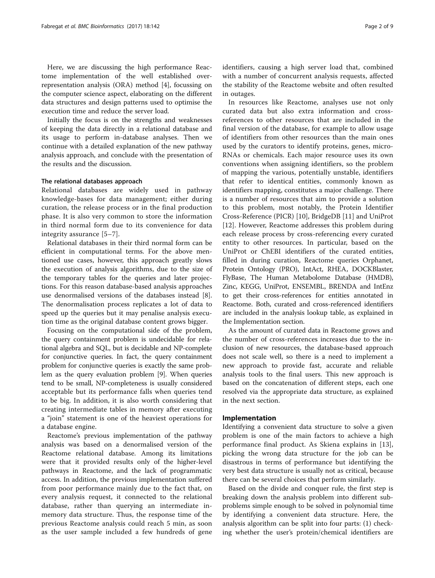Here, we are discussing the high performance Reactome implementation of the well established overrepresentation analysis (ORA) method [\[4\]](#page-7-0), focussing on the computer science aspect, elaborating on the different data structures and design patterns used to optimise the execution time and reduce the server load.

Initially the focus is on the strengths and weaknesses of keeping the data directly in a relational database and its usage to perform in-database analyses. Then we continue with a detailed explanation of the new pathway analysis approach, and conclude with the presentation of the results and the discussion.

## The relational databases approach

Relational databases are widely used in pathway knowledge-bases for data management; either during curation, the release process or in the final production phase. It is also very common to store the information in third normal form due to its convenience for data integrity assurance [\[5](#page-7-0)–[7\]](#page-7-0).

Relational databases in their third normal form can be efficient in computational terms. For the above mentioned use cases, however, this approach greatly slows the execution of analysis algorithms, due to the size of the temporary tables for the queries and later projections. For this reason database-based analysis approaches use denormalised versions of the databases instead [\[8](#page-7-0)]. The denormalisation process replicates a lot of data to speed up the queries but it may penalise analysis execution time as the original database content grows bigger.

Focusing on the computational side of the problem, the query containment problem is undecidable for relational algebra and SQL, but is decidable and NP-complete for conjunctive queries. In fact, the query containment problem for conjunctive queries is exactly the same problem as the query evaluation problem [\[9](#page-8-0)]. When queries tend to be small, NP-completeness is usually considered acceptable but its performance falls when queries tend to be big. In addition, it is also worth considering that creating intermediate tables in memory after executing a "join" statement is one of the heaviest operations for a database engine.

Reactome's previous implementation of the pathway analysis was based on a denormalised version of the Reactome relational database. Among its limitations were that it provided results only of the higher-level pathways in Reactome, and the lack of programmatic access. In addition, the previous implementation suffered from poor performance mainly due to the fact that, on every analysis request, it connected to the relational database, rather than querying an intermediate inmemory data structure. Thus, the response time of the previous Reactome analysis could reach 5 min, as soon as the user sample included a few hundreds of gene identifiers, causing a high server load that, combined with a number of concurrent analysis requests, affected the stability of the Reactome website and often resulted in outages.

In resources like Reactome, analyses use not only curated data but also extra information and crossreferences to other resources that are included in the final version of the database, for example to allow usage of identifiers from other resources than the main ones used by the curators to identify proteins, genes, micro-RNAs or chemicals. Each major resource uses its own conventions when assigning identifiers, so the problem of mapping the various, potentially unstable, identifiers that refer to identical entities, commonly known as identifiers mapping, constitutes a major challenge. There is a number of resources that aim to provide a solution to this problem, most notably, the Protein Identifier Cross-Reference (PICR) [[10\]](#page-8-0), BridgeDB [\[11](#page-8-0)] and UniProt [[12\]](#page-8-0). However, Reactome addresses this problem during each release process by cross-referencing every curated entity to other resources. In particular, based on the UniProt or ChEBI identifiers of the curated entities, filled in during curation, Reactome queries Orphanet, Protein Ontology (PRO), IntAct, RHEA, DOCKBlaster, FlyBase, The Human Metabolome Database (HMDB), Zinc, KEGG, UniProt, ENSEMBL, BRENDA and IntEnz to get their cross-references for entities annotated in Reactome. Both, curated and cross-referenced identifiers are included in the analysis lookup table, as explained in the Implementation section.

As the amount of curated data in Reactome grows and the number of cross-references increases due to the inclusion of new resources, the database-based approach does not scale well, so there is a need to implement a new approach to provide fast, accurate and reliable analysis tools to the final users. This new approach is based on the concatenation of different steps, each one resolved via the appropriate data structure, as explained in the next section.

## Implementation

Identifying a convenient data structure to solve a given problem is one of the main factors to achieve a high performance final product. As Skiena explains in [\[13](#page-8-0)], picking the wrong data structure for the job can be disastrous in terms of performance but identifying the very best data structure is usually not as critical, because there can be several choices that perform similarly.

Based on the divide and conquer rule, the first step is breaking down the analysis problem into different subproblems simple enough to be solved in polynomial time by identifying a convenient data structure. Here, the analysis algorithm can be split into four parts: (1) checking whether the user's protein/chemical identifiers are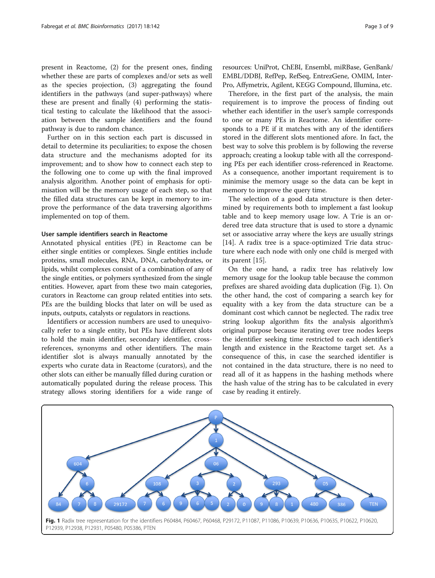present in Reactome, (2) for the present ones, finding whether these are parts of complexes and/or sets as well as the species projection, (3) aggregating the found identifiers in the pathways (and super-pathways) where these are present and finally (4) performing the statistical testing to calculate the likelihood that the association between the sample identifiers and the found pathway is due to random chance.

Further on in this section each part is discussed in detail to determine its peculiarities; to expose the chosen data structure and the mechanisms adopted for its improvement; and to show how to connect each step to the following one to come up with the final improved analysis algorithm. Another point of emphasis for optimisation will be the memory usage of each step, so that the filled data structures can be kept in memory to improve the performance of the data traversing algorithms implemented on top of them.

## User sample identifiers search in Reactome

Annotated physical entities (PE) in Reactome can be either single entities or complexes. Single entities include proteins, small molecules, RNA, DNA, carbohydrates, or lipids, whilst complexes consist of a combination of any of the single entities, or polymers synthesized from the single entities. However, apart from these two main categories, curators in Reactome can group related entities into sets. PEs are the building blocks that later on will be used as inputs, outputs, catalysts or regulators in reactions.

Identifiers or accession numbers are used to unequivocally refer to a single entity, but PEs have different slots to hold the main identifier, secondary identifier, crossreferences, synonyms and other identifiers. The main identifier slot is always manually annotated by the experts who curate data in Reactome (curators), and the other slots can either be manually filled during curation or automatically populated during the release process. This strategy allows storing identifiers for a wide range of

Therefore, in the first part of the analysis, the main requirement is to improve the process of finding out whether each identifier in the user's sample corresponds to one or many PEs in Reactome. An identifier corresponds to a PE if it matches with any of the identifiers stored in the different slots mentioned afore. In fact, the best way to solve this problem is by following the reverse approach; creating a lookup table with all the corresponding PEs per each identifier cross-referenced in Reactome. As a consequence, another important requirement is to minimise the memory usage so the data can be kept in memory to improve the query time.

The selection of a good data structure is then determined by requirements both to implement a fast lookup table and to keep memory usage low. A Trie is an ordered tree data structure that is used to store a dynamic set or associative array where the keys are usually strings [[14\]](#page-8-0). A radix tree is a space-optimized Trie data structure where each node with only one child is merged with its parent [[15](#page-8-0)].

On the one hand, a radix tree has relatively low memory usage for the lookup table because the common prefixes are shared avoiding data duplication (Fig. 1). On the other hand, the cost of comparing a search key for equality with a key from the data structure can be a dominant cost which cannot be neglected. The radix tree string lookup algorithm fits the analysis algorithm's original purpose because iterating over tree nodes keeps the identifier seeking time restricted to each identifier's length and existence in the Reactome target set. As a consequence of this, in case the searched identifier is not contained in the data structure, there is no need to read all of it as happens in the hashing methods where the hash value of the string has to be calculated in every case by reading it entirely.

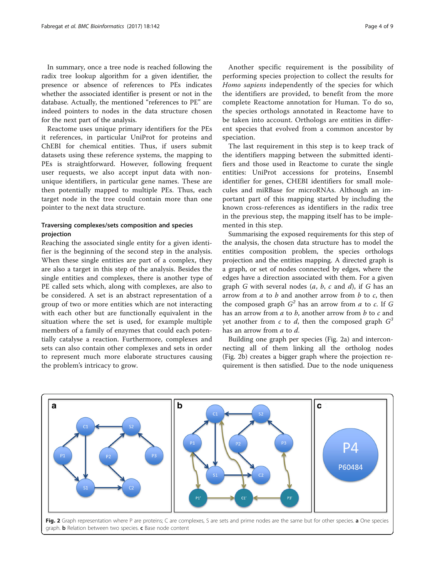<span id="page-3-0"></span>In summary, once a tree node is reached following the radix tree lookup algorithm for a given identifier, the presence or absence of references to PEs indicates whether the associated identifier is present or not in the database. Actually, the mentioned "references to PE" are indeed pointers to nodes in the data structure chosen for the next part of the analysis.

Reactome uses unique primary identifiers for the PEs it references, in particular UniProt for proteins and ChEBI for chemical entities. Thus, if users submit datasets using these reference systems, the mapping to PEs is straightforward. However, following frequent user requests, we also accept input data with nonunique identifiers, in particular gene names. These are then potentially mapped to multiple PEs. Thus, each target node in the tree could contain more than one pointer to the next data structure.

## Traversing complexes/sets composition and species projection

Reaching the associated single entity for a given identifier is the beginning of the second step in the analysis. When these single entities are part of a complex, they are also a target in this step of the analysis. Besides the single entities and complexes, there is another type of PE called sets which, along with complexes, are also to be considered. A set is an abstract representation of a group of two or more entities which are not interacting with each other but are functionally equivalent in the situation where the set is used, for example multiple members of a family of enzymes that could each potentially catalyse a reaction. Furthermore, complexes and sets can also contain other complexes and sets in order to represent much more elaborate structures causing the problem's intricacy to grow.

Another specific requirement is the possibility of performing species projection to collect the results for Homo sapiens independently of the species for which the identifiers are provided, to benefit from the more complete Reactome annotation for Human. To do so, the species orthologs annotated in Reactome have to be taken into account. Orthologs are entities in different species that evolved from a common ancestor by speciation.

The last requirement in this step is to keep track of the identifiers mapping between the submitted identifiers and those used in Reactome to curate the single entities: UniProt accessions for proteins, Ensembl identifier for genes, CHEBI identifiers for small molecules and miRBase for microRNAs. Although an important part of this mapping started by including the known cross-references as identifiers in the radix tree in the previous step, the mapping itself has to be implemented in this step.

Summarising the exposed requirements for this step of the analysis, the chosen data structure has to model the entities composition problem, the species orthologs projection and the entities mapping. A directed graph is a graph, or set of nodes connected by edges, where the edges have a direction associated with them. For a given graph G with several nodes  $(a, b, c \text{ and } d)$ , if G has an arrow from  $a$  to  $b$  and another arrow from  $b$  to  $c$ , then the composed graph  $G^2$  has an arrow from a to c. If G has an arrow from  $a$  to  $b$ , another arrow from  $b$  to  $c$  and yet another from c to d, then the composed graph  $G^3$ has an arrow from a to d.

Building one graph per species (Fig. 2a) and interconnecting all of them linking all the ortholog nodes (Fig. 2b) creates a bigger graph where the projection requirement is then satisfied. Due to the node uniqueness

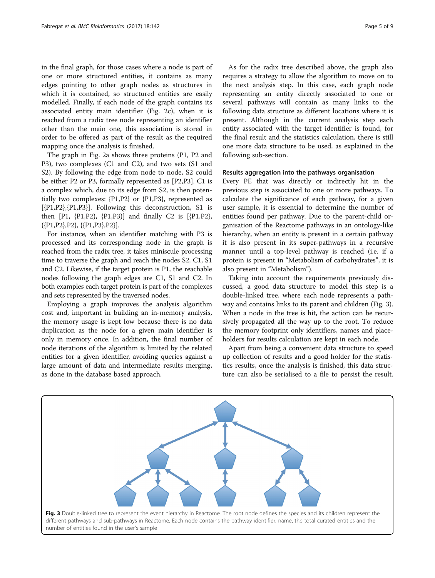in the final graph, for those cases where a node is part of one or more structured entities, it contains as many edges pointing to other graph nodes as structures in which it is contained, so structured entities are easily modelled. Finally, if each node of the graph contains its associated entity main identifier (Fig. [2c](#page-3-0)), when it is reached from a radix tree node representing an identifier other than the main one, this association is stored in order to be offered as part of the result as the required mapping once the analysis is finished.

The graph in Fig. [2a](#page-3-0) shows three proteins (P1, P2 and P3), two complexes (C1 and C2), and two sets (S1 and S2). By following the edge from node to node, S2 could be either P2 or P3, formally represented as [P2,P3]. C1 is a complex which, due to its edge from S2, is then potentially two complexes: {P1,P2} or {P1,P3}, represented as  $[\{P1, P2\}, \{P1, P3\}]$ . Following this deconstruction, S1 is then [P1,  $\{P1, P2\}$ ,  $\{P1, P3\}$ ] and finally C2 is  $[\{P1, P2\}]$ , {{P1,P2},P2}, {{P1,P3},P2}].

For instance, when an identifier matching with P3 is processed and its corresponding node in the graph is reached from the radix tree, it takes miniscule processing time to traverse the graph and reach the nodes S2, C1, S1 and C2. Likewise, if the target protein is P1, the reachable nodes following the graph edges are C1, S1 and C2. In both examples each target protein is part of the complexes and sets represented by the traversed nodes.

Employing a graph improves the analysis algorithm cost and, important in building an in-memory analysis, the memory usage is kept low because there is no data duplication as the node for a given main identifier is only in memory once. In addition, the final number of node iterations of the algorithm is limited by the related entities for a given identifier, avoiding queries against a large amount of data and intermediate results merging, as done in the database based approach.

As for the radix tree described above, the graph also requires a strategy to allow the algorithm to move on to the next analysis step. In this case, each graph node representing an entity directly associated to one or several pathways will contain as many links to the following data structure as different locations where it is present. Although in the current analysis step each entity associated with the target identifier is found, for the final result and the statistics calculation, there is still one more data structure to be used, as explained in the following sub-section.

## Results aggregation into the pathways organisation

Every PE that was directly or indirectly hit in the previous step is associated to one or more pathways. To calculate the significance of each pathway, for a given user sample, it is essential to determine the number of entities found per pathway. Due to the parent-child organisation of the Reactome pathways in an ontology-like hierarchy, when an entity is present in a certain pathway it is also present in its super-pathways in a recursive manner until a top-level pathway is reached (i.e. if a protein is present in "Metabolism of carbohydrates", it is also present in "Metabolism").

Taking into account the requirements previously discussed, a good data structure to model this step is a double-linked tree, where each node represents a pathway and contains links to its parent and children (Fig. 3). When a node in the tree is hit, the action can be recursively propagated all the way up to the root. To reduce the memory footprint only identifiers, names and placeholders for results calculation are kept in each node.

Apart from being a convenient data structure to speed up collection of results and a good holder for the statistics results, once the analysis is finished, this data structure can also be serialised to a file to persist the result.

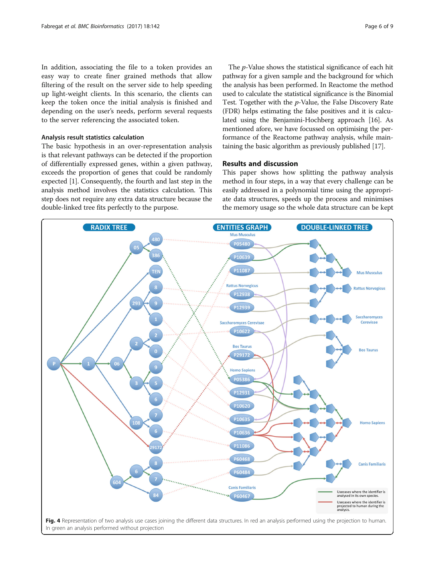<span id="page-5-0"></span>In addition, associating the file to a token provides an easy way to create finer grained methods that allow filtering of the result on the server side to help speeding up light-weight clients. In this scenario, the clients can keep the token once the initial analysis is finished and depending on the user's needs, perform several requests to the server referencing the associated token.

## Analysis result statistics calculation

The basic hypothesis in an over-representation analysis is that relevant pathways can be detected if the proportion of differentially expressed genes, within a given pathway, exceeds the proportion of genes that could be randomly expected [\[1\]](#page-7-0). Consequently, the fourth and last step in the analysis method involves the statistics calculation. This step does not require any extra data structure because the double-linked tree fits perfectly to the purpose.

The p-Value shows the statistical significance of each hit pathway for a given sample and the background for which the analysis has been performed. In Reactome the method used to calculate the statistical significance is the Binomial Test. Together with the  $p$ -Value, the False Discovery Rate (FDR) helps estimating the false positives and it is calculated using the Benjamini-Hochberg approach [[16](#page-8-0)]. As mentioned afore, we have focussed on optimising the performance of the Reactome pathway analysis, while maintaining the basic algorithm as previously published [[17](#page-8-0)].

## Results and discussion

This paper shows how splitting the pathway analysis method in four steps, in a way that every challenge can be easily addressed in a polynomial time using the appropriate data structures, speeds up the process and minimises the memory usage so the whole data structure can be kept

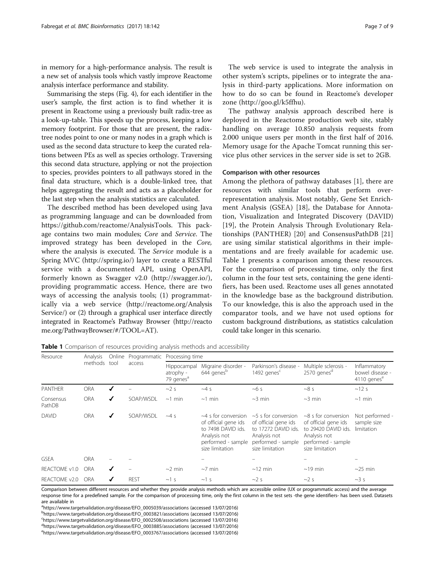in memory for a high-performance analysis. The result is a new set of analysis tools which vastly improve Reactome analysis interface performance and stability.

Summarising the steps (Fig. [4](#page-5-0)), for each identifier in the user's sample, the first action is to find whether it is present in Reactome using a previously built radix-tree as a look-up-table. This speeds up the process, keeping a low memory footprint. For those that are present, the radixtree nodes point to one or many nodes in a graph which is used as the second data structure to keep the curated relations between PEs as well as species orthology. Traversing this second data structure, applying or not the projection to species, provides pointers to all pathways stored in the final data structure, which is a double-linked tree, that helps aggregating the result and acts as a placeholder for the last step when the analysis statistics are calculated.

The described method has been developed using Java as programming language and can be downloaded from <https://github.com/reactome/AnalysisTools>. This package contains two main modules; Core and Service. The improved strategy has been developed in the Core, where the analysis is executed. The Service module is a Spring MVC ([http://spring.io/\)](http://spring.io/) layer to create a RESTful service with a documented API, using OpenAPI, formerly known as Swagger v2.0 [\(http://swagger.io/\)](http://swagger.io/), providing programmatic access. Hence, there are two ways of accessing the analysis tools; (1) programmatically via a web service [\(http://reactome.org/Analysis](http://reactome.org/AnalysisService/) [Service/\)](http://reactome.org/AnalysisService/) or (2) through a graphical user interface directly integrated in Reactome's Pathway Browser [\(http://reacto](http://reactome.org/PathwayBrowser/#/TOOL=AT) [me.org/PathwayBrowser/#/TOOL=AT](http://reactome.org/PathwayBrowser/#/TOOL=AT)).

The web service is used to integrate the analysis in other system's scripts, pipelines or to integrate the analysis in third-party applications. More information on how to do so can be found in Reactome's developer zone ([http://goo.gl/k5ffhu\)](http://goo.gl/k5ffhu).

The pathway analysis approach described here is deployed in the Reactome production web site, stably handling on average 10.850 analysis requests from 2.000 unique users per month in the first half of 2016. Memory usage for the Apache Tomcat running this service plus other services in the server side is set to 2GB.

#### Comparison with other resources

Among the plethora of pathway databases [[1\]](#page-7-0), there are resources with similar tools that perform overrepresentation analysis. Most notably, Gene Set Enrichment Analysis (GSEA) [[18\]](#page-8-0), the Database for Annotation, Visualization and Integrated Discovery (DAVID) [[19\]](#page-8-0), the Protein Analysis Through Evolutionary Relationships (PANTHER) [[20\]](#page-8-0) and ConsensusPathDB [\[21](#page-8-0)] are using similar statistical algorithms in their implementations and are freely available for academic use. Table 1 presents a comparison among these resources. For the comparison of processing time, only the first column in the four test sets, containing the gene identifiers, has been used. Reactome uses all genes annotated in the knowledge base as the background distribution. To our knowledge, this is also the approach used in the comparator tools, and we have not used options for custom background distributions, as statistics calculation could take longer in this scenario.

Table 1 Comparison of resources providing analysis methods and accessibility

| Resource            | Analysis<br>methods tool |   | Online Programmatic<br>access | Processing time                                   |                                                                                                                              |                                                                                                                                  |                                                                                                                                   |                                                            |
|---------------------|--------------------------|---|-------------------------------|---------------------------------------------------|------------------------------------------------------------------------------------------------------------------------------|----------------------------------------------------------------------------------------------------------------------------------|-----------------------------------------------------------------------------------------------------------------------------------|------------------------------------------------------------|
|                     |                          |   |                               | Hippocampal<br>atrophy -<br>79 genes <sup>a</sup> | Migraine disorder -<br>644 genes <sup>b</sup>                                                                                | Parkinson's disease -<br>1492 genes <sup>c</sup>                                                                                 | Multiple sclerosis -<br>2570 genes <sup>d</sup>                                                                                   | Inflammatory<br>bowel disease -<br>4110 genes <sup>e</sup> |
| <b>PANTHER</b>      | <b>ORA</b>               | ✔ |                               | $\sim$ 2 s                                        | $~14$ S                                                                                                                      | ~105                                                                                                                             | ~8s                                                                                                                               | $\sim$ 12 s                                                |
| Consensus<br>PathDB | <b>ORA</b>               | √ | SOAP/WSDL                     | $\sim$ 1 min                                      | $\sim$ 1 min                                                                                                                 | $\sim$ 3 min                                                                                                                     | $\sim$ 3 min                                                                                                                      | $\sim$ 1 min                                               |
| <b>DAVID</b>        | <b>ORA</b>               | √ | SOAP/WSDL                     | $~14$ S                                           | $~1$ s for conversion<br>of official gene ids<br>to 7498 DAVID ids.<br>Analysis not<br>performed - sample<br>size limitation | $~1$ -5 s for conversion<br>of official gene ids<br>to 17272 DAVID ids.<br>Analysis not<br>performed - sample<br>size limitation | $\sim$ 8 s for conversion<br>of official gene ids<br>to 29420 DAVID ids.<br>Analysis not<br>performed - sample<br>size limitation | Not performed -<br>sample size<br>limitation               |
| <b>GSEA</b>         | <b>ORA</b>               |   |                               |                                                   |                                                                                                                              |                                                                                                                                  |                                                                                                                                   |                                                            |
| REACTOME v1.0       | <b>ORA</b>               | ✔ |                               | $\sim$ 2 min                                      | $\sim$ 7 min                                                                                                                 | $\sim$ 12 min                                                                                                                    | $\sim$ 19 min                                                                                                                     | $\sim$ 25 min                                              |
| REACTOME v2.0       | ORA                      | ✔ | <b>REST</b>                   | $\sim$ 1 s                                        | $\sim$ 1 s                                                                                                                   | $\sim$ 2 s                                                                                                                       | $\sim$ 2 s                                                                                                                        | $\sim$ 3 s                                                 |

Comparison between different resources and whether they provide analysis methods which are accessible online (UX or programmatic access) and the average response time for a predefined sample. For the comparison of processing time, only the first column in the test sets -the gene identifiers- has been used. Datasets are available in

a<br>[https://www.targetvalidation.org/disease/EFO\\_0005039/associations](https://www.targetvalidation.org/disease/EFO_0005039/associations) (accessed 13/07/2016)<br>phttps://www.targetvalidation.org/disease/EEO\_0003821/associations (accessed 13/07/2016)

[https://www.targetvalidation.org/disease/EFO\\_0003821/associations](https://www.targetvalidation.org/disease/EFO_0003821/associations) (accessed 13/07/2016) <sup>c</sup>

[https://www.targetvalidation.org/disease/EFO\\_0002508/associations](https://www.targetvalidation.org/disease/EFO_0002508/associations) (accessed 13/07/2016) <sup>d</sup>

d[https://www.targetvalidation.org/disease/EFO\\_0003885/associations](https://www.targetvalidation.org/disease/EFO_0003885/associations) (accessed 13/07/2016)

[https://www.targetvalidation.org/disease/EFO\\_0003767/associations](https://www.targetvalidation.org/disease/EFO_0003767/associations) (accessed 13/07/2016)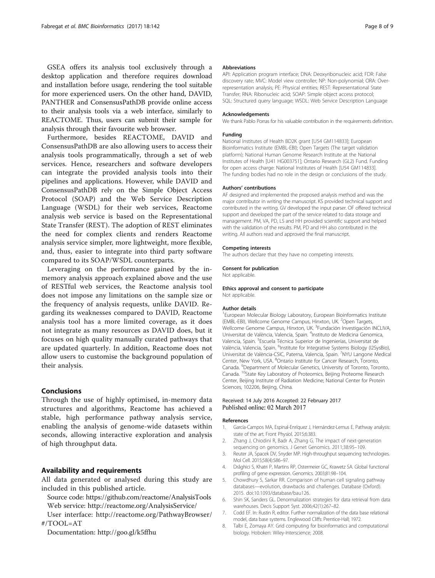<span id="page-7-0"></span>GSEA offers its analysis tool exclusively through a desktop application and therefore requires download and installation before usage, rendering the tool suitable for more experienced users. On the other hand, DAVID, PANTHER and ConsensusPathDB provide online access to their analysis tools via a web interface, similarly to REACTOME. Thus, users can submit their sample for analysis through their favourite web browser.

Furthermore, besides REACTOME, DAVID and ConsensusPathDB are also allowing users to access their analysis tools programmatically, through a set of web services. Hence, researchers and software developers can integrate the provided analysis tools into their pipelines and applications. However, while DAVID and ConsensusPathDB rely on the Simple Object Access Protocol (SOAP) and the Web Service Description Language (WSDL) for their web services, Reactome analysis web service is based on the Representational State Transfer (REST). The adoption of REST eliminates the need for complex clients and renders Reactome analysis service simpler, more lightweight, more flexible, and, thus, easier to integrate into third party software compared to its SOAP/WSDL counterparts.

Leveraging on the performance gained by the inmemory analysis approach explained above and the use of RESTful web services, the Reactome analysis tool does not impose any limitations on the sample size or the frequency of analysis requests, unlike DAVID. Regarding its weaknesses compared to DAVID, Reactome analysis tool has a more limited coverage, as it does not integrate as many resources as DAVID does, but it focuses on high quality manually curated pathways that are updated quarterly. In addition, Reactome does not allow users to customise the background population of their analysis.

## Conclusions

Through the use of highly optimised, in-memory data structures and algorithms, Reactome has achieved a stable, high performance pathway analysis service, enabling the analysis of genome-wide datasets within seconds, allowing interactive exploration and analysis of high throughput data.

## Availability and requirements

All data generated or analysed during this study are included in this published article.

Source code:<https://github.com/reactome/AnalysisTools> Web service:<http://reactome.org/AnalysisService/>

User interface: [http://reactome.org/PathwayBrowser/](http://reactome.org/PathwayBrowser/#/TOOL=AT) [#/TOOL=AT](http://reactome.org/PathwayBrowser/#/TOOL=AT)

Documentation:<http://goo.gl/k5ffhu>

#### Abbreviations

API: Application program interface; DNA: Deoxyribonucleic acid; FDR: False discovery rate; MVC: Model view controller; NP: Non-polynomial; ORA: Overrepresentation analysis; PE: Physical entities; REST: Representational State Transfer; RNA: Ribonucleic acid; SOAP: Simple object access protocol; SQL: Structured query language; WSDL: Web Service Description Language

#### Acknowledgements

We thank Pablo Porras for his valuable contribution in the requirements definition.

## Funding

National Institutes of Health BD2K grant [U54 GM114833]; European Bioinformatics Institute (EMBL-EBI); Open Targets (The target validation platform); National Human Genome Research Institute at the National Institutes of Health [U41 HG003751]; Ontario Research (GL2) Fund. Funding for open access charge: National Institutes of Health [U54 GM114833]. The funding bodies had no role in the design or conclusions of the study.

#### Authors' contributions

AF designed and implemented the proposed analysis method and was the major contributor in writing the manuscript. KS provided technical support and contributed in the writing. GV developed the input parser. OF offered technical support and developed the part of the service related to data storage and management. PM, VA, PD, LS and HH provided scientific support and helped with the validation of the results. PM, PD and HH also contributed in the writing. All authors read and approved the final manuscript.

#### Competing interests

The authors declare that they have no competing interests.

#### Consent for publication

Not applicable.

#### Ethics approval and consent to participate Not applicable.

#### Author details

<sup>1</sup> European Molecular Biology Laboratory, European Bioinformatics Institute (EMBL-EBI), Wellcome Genome Campus, Hinxton, UK. <sup>2</sup>Open Targets Wellcome Genome Campus, Hinxton, UK. <sup>3</sup>Fundación Investigación INCLIVA, Universitat de València, Valencia, Spain. <sup>4</sup>Instituto de Medicina Genomica, Valencia, Spain. <sup>5</sup>Escuela Técnica Superior de Ingenierías, Universitat de València, Valencia, Spain. <sup>6</sup>Institute for Integrative Systems Biology (I2SysBio) Universitat de València-CSIC, Paterna, Valencia, Spain. 7NYU Langone Medical Center, New York, USA. <sup>8</sup>Ontario Institute for Cancer Research, Toronto, Canada. <sup>9</sup>Department of Molecular Genetics, University of Toronto, Toronto, Canada. 10State Key Laboratory of Proteomics, Beijing Proteome Research Center, Beijing Institute of Radiation Medicine; National Center for Protein Sciences, 102206, Beijing, China.

#### Received: 14 July 2016 Accepted: 22 February 2017 Published online: 02 March 2017

#### References

- García-Campos MA, Espinal-Enríquez J, Hernández-Lemus E. Pathway analysis: state of the art. Front Physiol. 2015;6:383.
- 2. Zhang J, Chiodini R, Badr A, Zhang G. The impact of next-generation sequencing on genomics. J Genet Genomics. 2011;38:95–109.
- 3. Reuter JA, Spacek DV, Snyder MP. High-throughput sequencing technologies. Mol Cell. 2015;58(4):586–97.
- 4. Drǎghici S, Khatri P, Martins RP, Ostermeier GC, Krawetz SA. Global functional profiling of gene expression. Genomics. 2003;81:98–104.
- 5. Chowdhury S, Sarkar RR. Comparison of human cell signaling pathway databases—evolution, drawbacks and challenges. Database (Oxford). 2015. doi:[10.1093/database/bau126](http://dx.doi.org/10.1093/database/bau126).
- 6. Shin SK, Sanders GL. Denormalization strategies for data retrieval from data warehouses. Decis Support Syst. 2006;42(1):267–82.
- 7. Codd EF. In: Rustin R, editor. Further normalization of the data base relational model, data base systems. Englewood Cliffs: Prentice-Hall; 1972.
- 8. Talbi E, Zomaya AY. Grid computing for bioinformatics and computational biology. Hoboken: Wiley-Interscience; 2008.